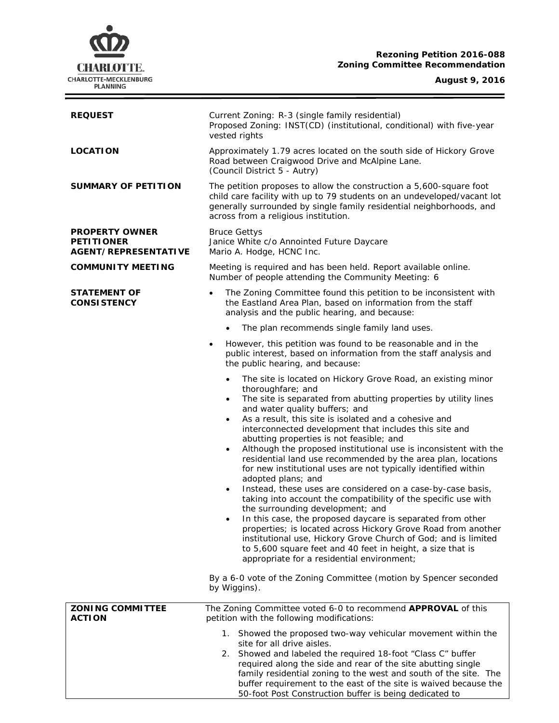# **CHARLOTTE.** CHARLOTTE-MECKLENBURG<br>PLANNING

#### **Rezoning Petition 2016-088 Zoning Committee Recommendation**

#### **August 9, 2016**

Ξ

| <b>REQUEST</b>                                                            | Current Zoning: R-3 (single family residential)<br>Proposed Zoning: INST(CD) (institutional, conditional) with five-year<br>vested rights                                                                                                                                                                                                                                                                                                                                                                                                                                                                                                                                                                                                                                                                                                                                                                                                                                                                                                                                                                                            |
|---------------------------------------------------------------------------|--------------------------------------------------------------------------------------------------------------------------------------------------------------------------------------------------------------------------------------------------------------------------------------------------------------------------------------------------------------------------------------------------------------------------------------------------------------------------------------------------------------------------------------------------------------------------------------------------------------------------------------------------------------------------------------------------------------------------------------------------------------------------------------------------------------------------------------------------------------------------------------------------------------------------------------------------------------------------------------------------------------------------------------------------------------------------------------------------------------------------------------|
| <b>LOCATION</b>                                                           | Approximately 1.79 acres located on the south side of Hickory Grove<br>Road between Craigwood Drive and McAlpine Lane.<br>(Council District 5 - Autry)                                                                                                                                                                                                                                                                                                                                                                                                                                                                                                                                                                                                                                                                                                                                                                                                                                                                                                                                                                               |
| <b>SUMMARY OF PETITION</b>                                                | The petition proposes to allow the construction a 5,600-square foot<br>child care facility with up to 79 students on an undeveloped/vacant lot<br>generally surrounded by single family residential neighborhoods, and<br>across from a religious institution.                                                                                                                                                                                                                                                                                                                                                                                                                                                                                                                                                                                                                                                                                                                                                                                                                                                                       |
| <b>PROPERTY OWNER</b><br><b>PETITIONER</b><br><b>AGENT/REPRESENTATIVE</b> | <b>Bruce Gettys</b><br>Janice White c/o Annointed Future Daycare<br>Mario A. Hodge, HCNC Inc.                                                                                                                                                                                                                                                                                                                                                                                                                                                                                                                                                                                                                                                                                                                                                                                                                                                                                                                                                                                                                                        |
| <b>COMMUNITY MEETING</b>                                                  | Meeting is required and has been held. Report available online.<br>Number of people attending the Community Meeting: 6                                                                                                                                                                                                                                                                                                                                                                                                                                                                                                                                                                                                                                                                                                                                                                                                                                                                                                                                                                                                               |
| <b>STATEMENT OF</b><br><b>CONSISTENCY</b>                                 | The Zoning Committee found this petition to be inconsistent with<br>$\bullet$<br>the Eastland Area Plan, based on information from the staff<br>analysis and the public hearing, and because:                                                                                                                                                                                                                                                                                                                                                                                                                                                                                                                                                                                                                                                                                                                                                                                                                                                                                                                                        |
|                                                                           | The plan recommends single family land uses.<br>$\bullet$                                                                                                                                                                                                                                                                                                                                                                                                                                                                                                                                                                                                                                                                                                                                                                                                                                                                                                                                                                                                                                                                            |
|                                                                           | However, this petition was found to be reasonable and in the<br>٠<br>public interest, based on information from the staff analysis and<br>the public hearing, and because:                                                                                                                                                                                                                                                                                                                                                                                                                                                                                                                                                                                                                                                                                                                                                                                                                                                                                                                                                           |
|                                                                           | The site is located on Hickory Grove Road, an existing minor<br>$\bullet$<br>thoroughfare; and<br>The site is separated from abutting properties by utility lines<br>$\bullet$<br>and water quality buffers; and<br>As a result, this site is isolated and a cohesive and<br>$\bullet$<br>interconnected development that includes this site and<br>abutting properties is not feasible; and<br>Although the proposed institutional use is inconsistent with the<br>$\bullet$<br>residential land use recommended by the area plan, locations<br>for new institutional uses are not typically identified within<br>adopted plans; and<br>Instead, these uses are considered on a case-by-case basis,<br>$\bullet$<br>taking into account the compatibility of the specific use with<br>the surrounding development; and<br>In this case, the proposed daycare is separated from other<br>properties; is located across Hickory Grove Road from another<br>institutional use, Hickory Grove Church of God; and is limited<br>to 5,600 square feet and 40 feet in height, a size that is<br>appropriate for a residential environment; |
|                                                                           | By a 6-0 vote of the Zoning Committee (motion by Spencer seconded<br>by Wiggins).                                                                                                                                                                                                                                                                                                                                                                                                                                                                                                                                                                                                                                                                                                                                                                                                                                                                                                                                                                                                                                                    |
| <b>ZONING COMMITTEE</b><br><b>ACTION</b>                                  | The Zoning Committee voted 6-0 to recommend APPROVAL of this<br>petition with the following modifications:                                                                                                                                                                                                                                                                                                                                                                                                                                                                                                                                                                                                                                                                                                                                                                                                                                                                                                                                                                                                                           |
|                                                                           | 1. Showed the proposed two-way vehicular movement within the<br>site for all drive aisles.<br>2. Showed and labeled the required 18-foot "Class C" buffer<br>required along the side and rear of the site abutting single<br>family residential zoning to the west and south of the site. The<br>buffer requirement to the east of the site is waived because the<br>50-foot Post Construction buffer is being dedicated to                                                                                                                                                                                                                                                                                                                                                                                                                                                                                                                                                                                                                                                                                                          |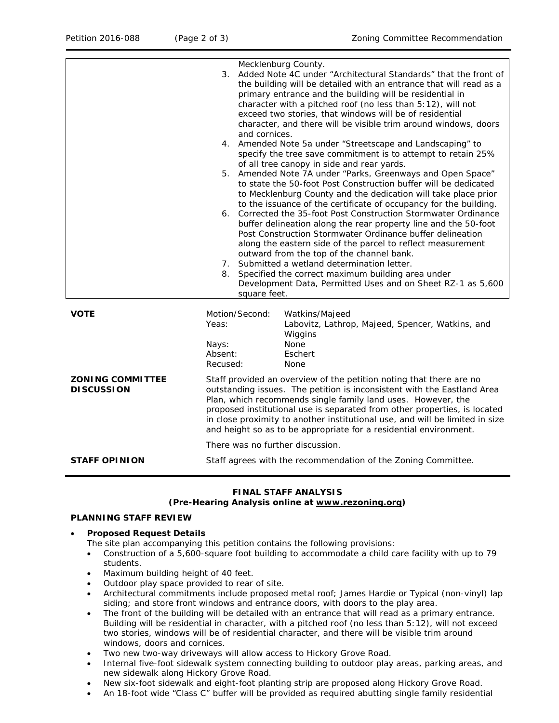|                                              | Mecklenburg County.<br>3. Added Note 4C under "Architectural Standards" that the front of<br>the building will be detailed with an entrance that will read as a<br>primary entrance and the building will be residential in<br>character with a pitched roof (no less than 5:12), will not<br>exceed two stories, that windows will be of residential<br>character, and there will be visible trim around windows, doors<br>and cornices.<br>4. Amended Note 5a under "Streetscape and Landscaping" to<br>specify the tree save commitment is to attempt to retain 25%<br>of all tree canopy in side and rear yards.<br>5. Amended Note 7A under "Parks, Greenways and Open Space"<br>to state the 50-foot Post Construction buffer will be dedicated<br>to Mecklenburg County and the dedication will take place prior<br>to the issuance of the certificate of occupancy for the building.<br>6. Corrected the 35-foot Post Construction Stormwater Ordinance<br>buffer delineation along the rear property line and the 50-foot<br>Post Construction Stormwater Ordinance buffer delineation<br>along the eastern side of the parcel to reflect measurement<br>outward from the top of the channel bank.<br>7. Submitted a wetland determination letter.<br>8. Specified the correct maximum building area under<br>Development Data, Permitted Uses and on Sheet RZ-1 as 5,600<br>square feet. |
|----------------------------------------------|----------------------------------------------------------------------------------------------------------------------------------------------------------------------------------------------------------------------------------------------------------------------------------------------------------------------------------------------------------------------------------------------------------------------------------------------------------------------------------------------------------------------------------------------------------------------------------------------------------------------------------------------------------------------------------------------------------------------------------------------------------------------------------------------------------------------------------------------------------------------------------------------------------------------------------------------------------------------------------------------------------------------------------------------------------------------------------------------------------------------------------------------------------------------------------------------------------------------------------------------------------------------------------------------------------------------------------------------------------------------------------------------------|
| <b>VOTE</b>                                  | Motion/Second:<br>Watkins/Majeed<br>Labovitz, Lathrop, Majeed, Spencer, Watkins, and<br>Yeas:<br>Wiggins<br><b>None</b><br>Nays:<br>Absent:<br>Eschert<br>Recused:<br>None                                                                                                                                                                                                                                                                                                                                                                                                                                                                                                                                                                                                                                                                                                                                                                                                                                                                                                                                                                                                                                                                                                                                                                                                                         |
| <b>ZONING COMMITTEE</b><br><b>DISCUSSION</b> | Staff provided an overview of the petition noting that there are no<br>outstanding issues. The petition is inconsistent with the Eastland Area<br>Plan, which recommends single family land uses. However, the<br>proposed institutional use is separated from other properties, is located<br>in close proximity to another institutional use, and will be limited in size<br>and height so as to be appropriate for a residential environment.                                                                                                                                                                                                                                                                                                                                                                                                                                                                                                                                                                                                                                                                                                                                                                                                                                                                                                                                                   |
|                                              | There was no further discussion.                                                                                                                                                                                                                                                                                                                                                                                                                                                                                                                                                                                                                                                                                                                                                                                                                                                                                                                                                                                                                                                                                                                                                                                                                                                                                                                                                                   |
| <b>STAFF OPINION</b>                         | Staff agrees with the recommendation of the Zoning Committee.                                                                                                                                                                                                                                                                                                                                                                                                                                                                                                                                                                                                                                                                                                                                                                                                                                                                                                                                                                                                                                                                                                                                                                                                                                                                                                                                      |

## **FINAL STAFF ANALYSIS**

### **(Pre-Hearing Analysis online at [www.rezoning.org\)](http://www.rezoning.org/)**

#### **PLANNING STAFF REVIEW**

#### • **Proposed Request Details**

The site plan accompanying this petition contains the following provisions:

- Construction of a 5,600-square foot building to accommodate a child care facility with up to 79 students.
- Maximum building height of 40 feet.
- Outdoor play space provided to rear of site.
- Architectural commitments include proposed metal roof; James Hardie or Typical (non-vinyl) lap siding; and store front windows and entrance doors, with doors to the play area.
- The front of the building will be detailed with an entrance that will read as a primary entrance. Building will be residential in character, with a pitched roof (no less than 5:12), will not exceed two stories, windows will be of residential character, and there will be visible trim around windows, doors and cornices.
- Two new two-way driveways will allow access to Hickory Grove Road.
- Internal five-foot sidewalk system connecting building to outdoor play areas, parking areas, and new sidewalk along Hickory Grove Road.
- New six-foot sidewalk and eight-foot planting strip are proposed along Hickory Grove Road.
- An 18-foot wide "Class C" buffer will be provided as required abutting single family residential